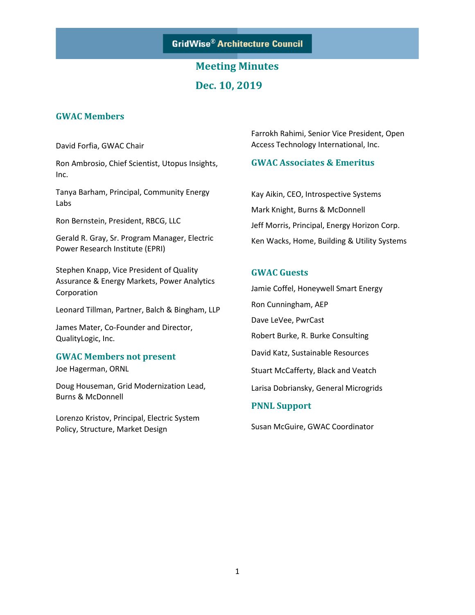

# **Meeting Minutes Dec. 10, 2019**

### **GWAC Members**

David Forfia, GWAC Chair

Ron Ambrosio, Chief Scientist, Utopus Insights, Inc.

Tanya Barham, Principal, Community Energy Labs

Ron Bernstein, President, RBCG, LLC

Gerald R. Gray, Sr. Program Manager, Electric Power Research Institute (EPRI)

Stephen Knapp, Vice President of Quality Assurance & Energy Markets, Power Analytics Corporation

Leonard Tillman, Partner, Balch & Bingham, LLP

James Mater, Co-Founder and Director, QualityLogic, Inc.

### **GWAC Members not present**

Joe Hagerman, ORNL

Doug Houseman, Grid Modernization Lead, Burns & McDonnell

Lorenzo Kristov, Principal, Electric System Policy, Structure, Market Design

Farrokh Rahimi, Senior Vice President, Open Access Technology International, Inc.

### **GWAC Associates & Emeritus**

Kay Aikin, CEO, Introspective Systems Mark Knight, Burns & McDonnell Jeff Morris, Principal, Energy Horizon Corp. Ken Wacks, Home, Building & Utility Systems

### **GWAC Guests**

Jamie Coffel, Honeywell Smart Energy Ron Cunningham, AEP Dave LeVee, PwrCast Robert Burke, R. Burke Consulting David Katz, Sustainable Resources Stuart McCafferty, Black and Veatch Larisa Dobriansky, General Microgrids **PNNL Support**

Susan McGuire, GWAC Coordinator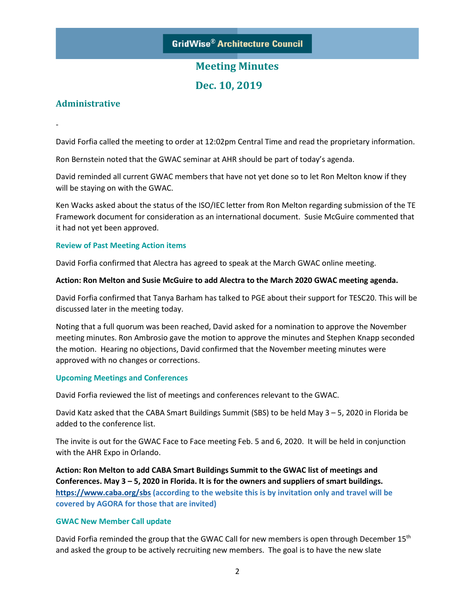**Dec. 10, 2019**

### **Administrative**

-

David Forfia called the meeting to order at 12:02pm Central Time and read the proprietary information.

Ron Bernstein noted that the GWAC seminar at AHR should be part of today's agenda.

David reminded all current GWAC members that have not yet done so to let Ron Melton know if they will be staying on with the GWAC.

Ken Wacks asked about the status of the ISO/IEC letter from Ron Melton regarding submission of the TE Framework document for consideration as an international document. Susie McGuire commented that it had not yet been approved.

#### **Review of Past Meeting Action items**

David Forfia confirmed that Alectra has agreed to speak at the March GWAC online meeting.

#### **Action: Ron Melton and Susie McGuire to add Alectra to the March 2020 GWAC meeting agenda.**

David Forfia confirmed that Tanya Barham has talked to PGE about their support for TESC20. This will be discussed later in the meeting today.

Noting that a full quorum was been reached, David asked for a nomination to approve the November meeting minutes. Ron Ambrosio gave the motion to approve the minutes and Stephen Knapp seconded the motion. Hearing no objections, David confirmed that the November meeting minutes were approved with no changes or corrections.

#### **Upcoming Meetings and Conferences**

David Forfia reviewed the list of meetings and conferences relevant to the GWAC.

David Katz asked that the CABA Smart Buildings Summit (SBS) to be held May 3 – 5, 2020 in Florida be added to the conference list.

The invite is out for the GWAC Face to Face meeting Feb. 5 and 6, 2020. It will be held in conjunction with the AHR Expo in Orlando.

**Action: Ron Melton to add CABA Smart Buildings Summit to the GWAC list of meetings and Conferences. May 3 – 5, 2020 in Florida. It is for the owners and suppliers of smart buildings. <https://www.caba.org/sbs> (according to the website this is by invitation only and travel will be covered by AGORA for those that are invited)**

#### **GWAC New Member Call update**

David Forfia reminded the group that the GWAC Call for new members is open through December 15<sup>th</sup> and asked the group to be actively recruiting new members. The goal is to have the new slate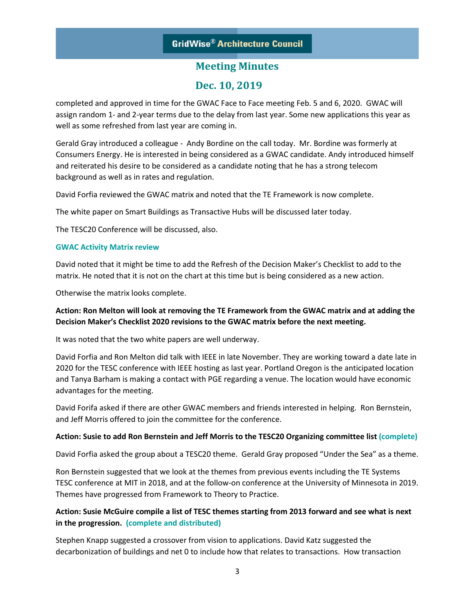### **Dec. 10, 2019**

completed and approved in time for the GWAC Face to Face meeting Feb. 5 and 6, 2020. GWAC will assign random 1- and 2-year terms due to the delay from last year. Some new applications this year as well as some refreshed from last year are coming in.

Gerald Gray introduced a colleague - Andy Bordine on the call today. Mr. Bordine was formerly at Consumers Energy. He is interested in being considered as a GWAC candidate. Andy introduced himself and reiterated his desire to be considered as a candidate noting that he has a strong telecom background as well as in rates and regulation.

David Forfia reviewed the GWAC matrix and noted that the TE Framework is now complete.

The white paper on Smart Buildings as Transactive Hubs will be discussed later today.

The TESC20 Conference will be discussed, also.

#### **GWAC Activity Matrix review**

David noted that it might be time to add the Refresh of the Decision Maker's Checklist to add to the matrix. He noted that it is not on the chart at this time but is being considered as a new action.

Otherwise the matrix looks complete.

### **Action: Ron Melton will look at removing the TE Framework from the GWAC matrix and at adding the Decision Maker's Checklist 2020 revisions to the GWAC matrix before the next meeting.**

It was noted that the two white papers are well underway.

David Forfia and Ron Melton did talk with IEEE in late November. They are working toward a date late in 2020 for the TESC conference with IEEE hosting as last year. Portland Oregon is the anticipated location and Tanya Barham is making a contact with PGE regarding a venue. The location would have economic advantages for the meeting.

David Forifa asked if there are other GWAC members and friends interested in helping. Ron Bernstein, and Jeff Morris offered to join the committee for the conference.

#### **Action: Susie to add Ron Bernstein and Jeff Morris to the TESC20 Organizing committee list (complete)**

David Forfia asked the group about a TESC20 theme. Gerald Gray proposed "Under the Sea" as a theme.

Ron Bernstein suggested that we look at the themes from previous events including the TE Systems TESC conference at MIT in 2018, and at the follow-on conference at the University of Minnesota in 2019. Themes have progressed from Framework to Theory to Practice.

### **Action: Susie McGuire compile a list of TESC themes starting from 2013 forward and see what is next in the progression. (complete and distributed)**

Stephen Knapp suggested a crossover from vision to applications. David Katz suggested the decarbonization of buildings and net 0 to include how that relates to transactions. How transaction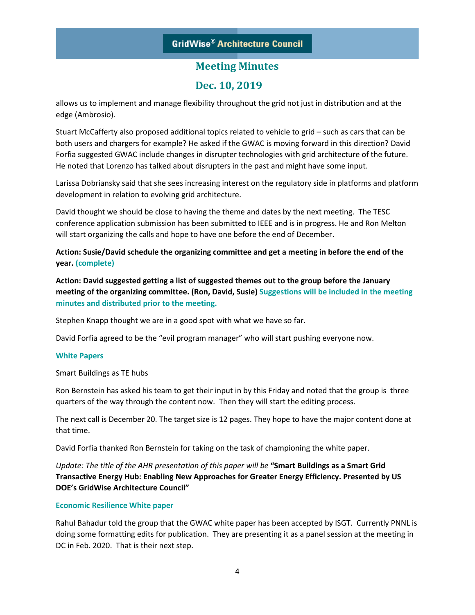### **Dec. 10, 2019**

allows us to implement and manage flexibility throughout the grid not just in distribution and at the edge (Ambrosio).

Stuart McCafferty also proposed additional topics related to vehicle to grid – such as cars that can be both users and chargers for example? He asked if the GWAC is moving forward in this direction? David Forfia suggested GWAC include changes in disrupter technologies with grid architecture of the future. He noted that Lorenzo has talked about disrupters in the past and might have some input.

Larissa Dobriansky said that she sees increasing interest on the regulatory side in platforms and platform development in relation to evolving grid architecture.

David thought we should be close to having the theme and dates by the next meeting. The TESC conference application submission has been submitted to IEEE and is in progress. He and Ron Melton will start organizing the calls and hope to have one before the end of December.

**Action: Susie/David schedule the organizing committee and get a meeting in before the end of the year. (complete)**

**Action: David suggested getting a list of suggested themes out to the group before the January meeting of the organizing committee. (Ron, David, Susie) Suggestions will be included in the meeting minutes and distributed prior to the meeting.**

Stephen Knapp thought we are in a good spot with what we have so far.

David Forfia agreed to be the "evil program manager" who will start pushing everyone now.

#### **White Papers**

Smart Buildings as TE hubs

Ron Bernstein has asked his team to get their input in by this Friday and noted that the group is three quarters of the way through the content now. Then they will start the editing process.

The next call is December 20. The target size is 12 pages. They hope to have the major content done at that time.

David Forfia thanked Ron Bernstein for taking on the task of championing the white paper.

*Update: The title of the AHR presentation of this paper will be* **"Smart Buildings as a Smart Grid Transactive Energy Hub: Enabling New Approaches for Greater Energy Efficiency. Presented by US DOE's GridWise Architecture Council"**

#### **Economic Resilience White paper**

Rahul Bahadur told the group that the GWAC white paper has been accepted by ISGT. Currently PNNL is doing some formatting edits for publication. They are presenting it as a panel session at the meeting in DC in Feb. 2020. That is their next step.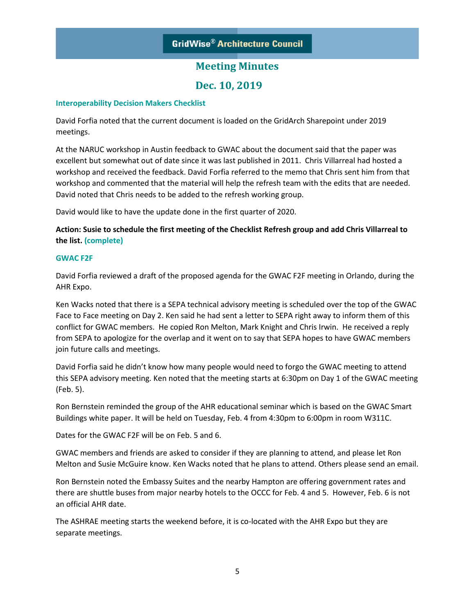### **Dec. 10, 2019**

#### **Interoperability Decision Makers Checklist**

David Forfia noted that the current document is loaded on the GridArch Sharepoint under 2019 meetings.

At the NARUC workshop in Austin feedback to GWAC about the document said that the paper was excellent but somewhat out of date since it was last published in 2011. Chris Villarreal had hosted a workshop and received the feedback. David Forfia referred to the memo that Chris sent him from that workshop and commented that the material will help the refresh team with the edits that are needed. David noted that Chris needs to be added to the refresh working group.

David would like to have the update done in the first quarter of 2020.

**Action: Susie to schedule the first meeting of the Checklist Refresh group and add Chris Villarreal to the list. (complete)**

#### **GWAC F2F**

David Forfia reviewed a draft of the proposed agenda for the GWAC F2F meeting in Orlando, during the AHR Expo.

Ken Wacks noted that there is a SEPA technical advisory meeting is scheduled over the top of the GWAC Face to Face meeting on Day 2. Ken said he had sent a letter to SEPA right away to inform them of this conflict for GWAC members. He copied Ron Melton, Mark Knight and Chris Irwin. He received a reply from SEPA to apologize for the overlap and it went on to say that SEPA hopes to have GWAC members join future calls and meetings.

David Forfia said he didn't know how many people would need to forgo the GWAC meeting to attend this SEPA advisory meeting. Ken noted that the meeting starts at 6:30pm on Day 1 of the GWAC meeting (Feb. 5).

Ron Bernstein reminded the group of the AHR educational seminar which is based on the GWAC Smart Buildings white paper. It will be held on Tuesday, Feb. 4 from 4:30pm to 6:00pm in room W311C.

Dates for the GWAC F2F will be on Feb. 5 and 6.

GWAC members and friends are asked to consider if they are planning to attend, and please let Ron Melton and Susie McGuire know. Ken Wacks noted that he plans to attend. Others please send an email.

Ron Bernstein noted the Embassy Suites and the nearby Hampton are offering government rates and there are shuttle buses from major nearby hotels to the OCCC for Feb. 4 and 5. However, Feb. 6 is not an official AHR date.

The ASHRAE meeting starts the weekend before, it is co-located with the AHR Expo but they are separate meetings.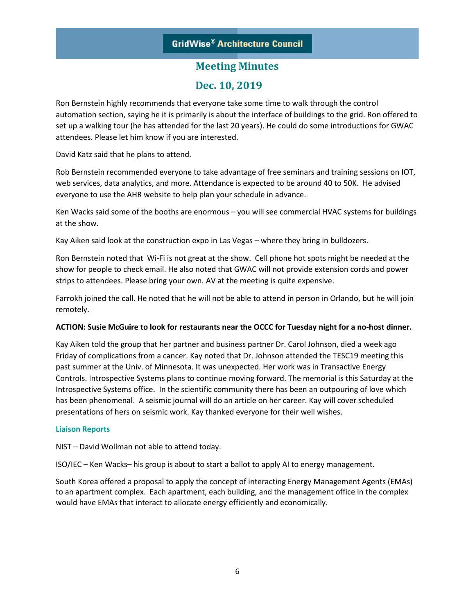### **Dec. 10, 2019**

Ron Bernstein highly recommends that everyone take some time to walk through the control automation section, saying he it is primarily is about the interface of buildings to the grid. Ron offered to set up a walking tour (he has attended for the last 20 years). He could do some introductions for GWAC attendees. Please let him know if you are interested.

David Katz said that he plans to attend.

Rob Bernstein recommended everyone to take advantage of free seminars and training sessions on IOT, web services, data analytics, and more. Attendance is expected to be around 40 to 50K. He advised everyone to use the AHR website to help plan your schedule in advance.

Ken Wacks said some of the booths are enormous – you will see commercial HVAC systems for buildings at the show.

Kay Aiken said look at the construction expo in Las Vegas – where they bring in bulldozers.

Ron Bernstein noted that Wi-Fi is not great at the show. Cell phone hot spots might be needed at the show for people to check email. He also noted that GWAC will not provide extension cords and power strips to attendees. Please bring your own. AV at the meeting is quite expensive.

Farrokh joined the call. He noted that he will not be able to attend in person in Orlando, but he will join remotely.

### **ACTION: Susie McGuire to look for restaurants near the OCCC for Tuesday night for a no-host dinner.**

Kay Aiken told the group that her partner and business partner Dr. Carol Johnson, died a week ago Friday of complications from a cancer. Kay noted that Dr. Johnson attended the TESC19 meeting this past summer at the Univ. of Minnesota. It was unexpected. Her work was in Transactive Energy Controls. Introspective Systems plans to continue moving forward. The memorial is this Saturday at the Introspective Systems office. In the scientific community there has been an outpouring of love which has been phenomenal. A seismic journal will do an article on her career. Kay will cover scheduled presentations of hers on seismic work. Kay thanked everyone for their well wishes.

#### **Liaison Reports**

NIST – David Wollman not able to attend today.

ISO/IEC – Ken Wacks– his group is about to start a ballot to apply AI to energy management.

South Korea offered a proposal to apply the concept of interacting Energy Management Agents (EMAs) to an apartment complex. Each apartment, each building, and the management office in the complex would have EMAs that interact to allocate energy efficiently and economically.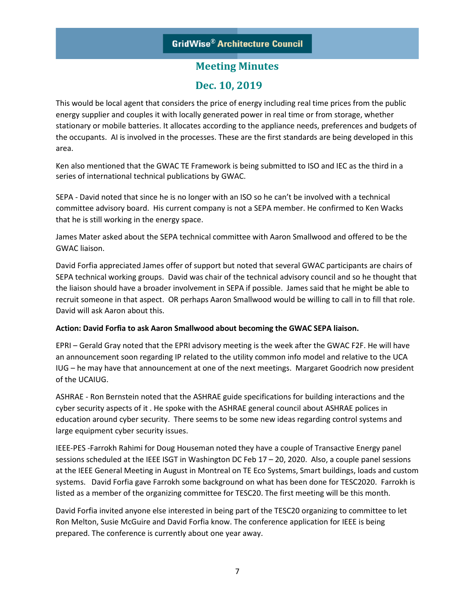### **Dec. 10, 2019**

This would be local agent that considers the price of energy including real time prices from the public energy supplier and couples it with locally generated power in real time or from storage, whether stationary or mobile batteries. It allocates according to the appliance needs, preferences and budgets of the occupants. AI is involved in the processes. These are the first standards are being developed in this area.

Ken also mentioned that the GWAC TE Framework is being submitted to ISO and IEC as the third in a series of international technical publications by GWAC.

SEPA - David noted that since he is no longer with an ISO so he can't be involved with a technical committee advisory board. His current company is not a SEPA member. He confirmed to Ken Wacks that he is still working in the energy space.

James Mater asked about the SEPA technical committee with Aaron Smallwood and offered to be the GWAC liaison.

David Forfia appreciated James offer of support but noted that several GWAC participants are chairs of SEPA technical working groups. David was chair of the technical advisory council and so he thought that the liaison should have a broader involvement in SEPA if possible. James said that he might be able to recruit someone in that aspect. OR perhaps Aaron Smallwood would be willing to call in to fill that role. David will ask Aaron about this.

### **Action: David Forfia to ask Aaron Smallwood about becoming the GWAC SEPA liaison.**

EPRI – Gerald Gray noted that the EPRI advisory meeting is the week after the GWAC F2F. He will have an announcement soon regarding IP related to the utility common info model and relative to the UCA IUG – he may have that announcement at one of the next meetings. Margaret Goodrich now president of the UCAIUG.

ASHRAE - Ron Bernstein noted that the ASHRAE guide specifications for building interactions and the cyber security aspects of it . He spoke with the ASHRAE general council about ASHRAE polices in education around cyber security. There seems to be some new ideas regarding control systems and large equipment cyber security issues.

IEEE-PES -Farrokh Rahimi for Doug Houseman noted they have a couple of Transactive Energy panel sessions scheduled at the IEEE ISGT in Washington DC Feb 17 – 20, 2020. Also, a couple panel sessions at the IEEE General Meeting in August in Montreal on TE Eco Systems, Smart buildings, loads and custom systems. David Forfia gave Farrokh some background on what has been done for TESC2020. Farrokh is listed as a member of the organizing committee for TESC20. The first meeting will be this month.

David Forfia invited anyone else interested in being part of the TESC20 organizing to committee to let Ron Melton, Susie McGuire and David Forfia know. The conference application for IEEE is being prepared. The conference is currently about one year away.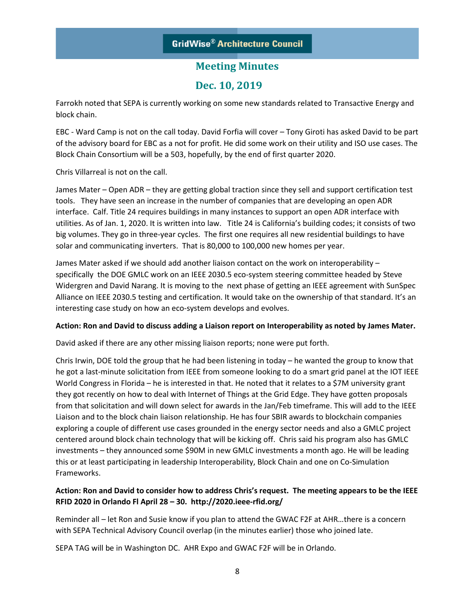### **Dec. 10, 2019**

Farrokh noted that SEPA is currently working on some new standards related to Transactive Energy and block chain.

EBC - Ward Camp is not on the call today. David Forfia will cover – Tony Giroti has asked David to be part of the advisory board for EBC as a not for profit. He did some work on their utility and ISO use cases. The Block Chain Consortium will be a 503, hopefully, by the end of first quarter 2020.

Chris Villarreal is not on the call.

James Mater – Open ADR – they are getting global traction since they sell and support certification test tools. They have seen an increase in the number of companies that are developing an open ADR interface. Calf. Title 24 requires buildings in many instances to support an open ADR interface with utilities. As of Jan. 1, 2020. It is written into law. Title 24 is California's building codes; it consists of two big volumes. They go in three-year cycles. The first one requires all new residential buildings to have solar and communicating inverters. That is 80,000 to 100,000 new homes per year.

James Mater asked if we should add another liaison contact on the work on interoperability – specifically the DOE GMLC work on an IEEE 2030.5 eco-system steering committee headed by Steve Widergren and David Narang. It is moving to the next phase of getting an IEEE agreement with SunSpec Alliance on IEEE 2030.5 testing and certification. It would take on the ownership of that standard. It's an interesting case study on how an eco-system develops and evolves.

### **Action: Ron and David to discuss adding a Liaison report on Interoperability as noted by James Mater.**

David asked if there are any other missing liaison reports; none were put forth.

Chris Irwin, DOE told the group that he had been listening in today – he wanted the group to know that he got a last-minute solicitation from IEEE from someone looking to do a smart grid panel at the IOT IEEE World Congress in Florida – he is interested in that. He noted that it relates to a \$7M university grant they got recently on how to deal with Internet of Things at the Grid Edge. They have gotten proposals from that solicitation and will down select for awards in the Jan/Feb timeframe. This will add to the IEEE Liaison and to the block chain liaison relationship. He has four SBIR awards to blockchain companies exploring a couple of different use cases grounded in the energy sector needs and also a GMLC project centered around block chain technology that will be kicking off. Chris said his program also has GMLC investments – they announced some \$90M in new GMLC investments a month ago. He will be leading this or at least participating in leadership Interoperability, Block Chain and one on Co-Simulation Frameworks.

### **Action: Ron and David to consider how to address Chris's request. The meeting appears to be the IEEE RFID 2020 in Orlando Fl April 28 – 30. http://2020.ieee-rfid.org/**

Reminder all – let Ron and Susie know if you plan to attend the GWAC F2F at AHR…there is a concern with SEPA Technical Advisory Council overlap (in the minutes earlier) those who joined late.

SEPA TAG will be in Washington DC. AHR Expo and GWAC F2F will be in Orlando.